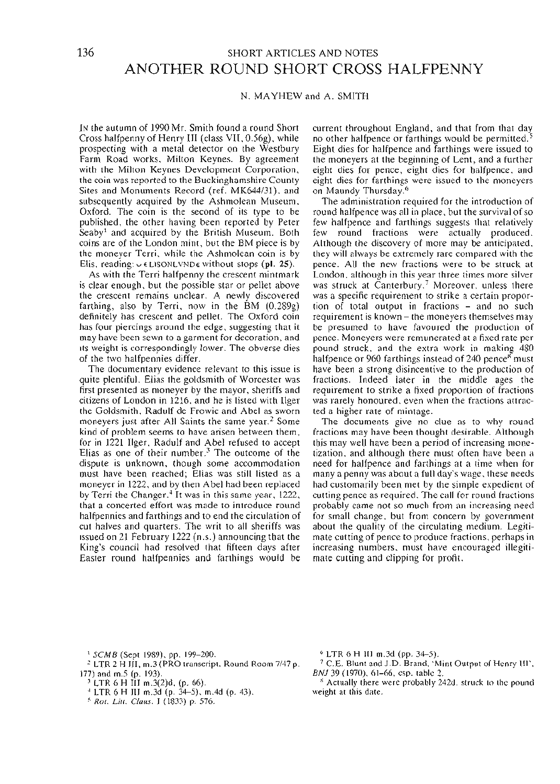## 136 SHORT ARTICLES AND NOTES ANOTHER ROUND SHORT CROSS HALFPENNY

## N. MAYHEW and A. SMITH

IN the autumn of 1990 Mr. Smith found a round Short Cross halfpenny of Henry III (class VII, 0.56g), while prospecting with a metal detector on the Westbury Farm Road works, Milton Keynes. By agreement with the Milton Keynes Development Corporation, the coin was reported to the Buckinghamshire County Sites and Monuments Record (ref. MK644/31), and subsequently acquired by the Ashmolean Museum, Oxford. The coin is the second of its type to be published, the other having been reported by Peter Seaby1 and acquired by the British Museum. Both coins are of the London mint, but the BM piece is by the moneyer Terri, while the Ashmolean coin is by Elis, reading:  $\cup$  **ELISONLVNDe without stops (pl. 25).** 

As with the Terri halfpenny the crescent mintmark is clear enough, but the possible star or pellet above the crescent remains unclear. A newly discovered farthing, also by Terri, now in the BM (0.289g) definitely has crescent and pellet. The Oxford coin has four piercings around the edge, suggesting that it may have been sewn to a garment for decoration, and its weight is correspondingly lower. The obverse dies of the two halfpennies differ.

The documentary evidence relevant to this issue is quite plentiful. Elias the goldsmith of Worcester was first presented as moneyer by the mayor, sheriffs and citizens of London in 1216, and he is listed with Ilger the Goldsmith, Radulf de Frowic and Abel as sworn moneyers just after All Saints the same year.<sup>2</sup> Some kind of problem seems to have arisen between them, for in 1221 Ilger, Radulf and Abel refused to accept Elias as one of their number.<sup>3</sup> The outcome of the dispute is unknown, though some accommodation must have been reached; Elias was still listed as a moneyer in 1222, and by then Abel had been replaced by Terri the Changer.<sup>4</sup> It was in this same year, 1222, that a concerted effort was made to introduce round that a concerted effort was made to introduce round<br>halfpennies and farthings and to end the circulation of cut halves and quarters. The writ to all sheriffs was issued on 21 February 1222 (n.s.) announcing that the King's council had resolved that fifteen days after Easter round halfpennies and farthings would be

current throughout England, and that from that day no other halfpence or farthings would be permitted.<sup>5</sup> Eight dies for halfpence and farthings were issued to the moneyers at the beginning of Lent, and a further eight dies for pence, eight dies for halfpence, and eight dies for farthings were issued to the moneyers on Maundy Thursday.<sup>6</sup>

The administration required for the introduction of round halfpence was all in place, but the survival of so few halfpence and farthings suggests that relatively few round fractions were actually produced. Although the discovery of more may be anticipated, they will always be extremely rare compared with the pence. All the new fractions were to be struck at London, although in this year three times more silver was struck at Canterbury.<sup>7</sup> Moreover, unless there was a specific requirement to strike a certain propor- tion of total output in fractions - and no such requirement is known – the moneyers themselves may be presumed to have favoured the production of pence. Moneyers were remunerated at a fixed rate per pound struck, and the extra work in making 480 pound struck, and the extra work in making 460<br>halfpence or 960 farthings instead of 240 pence<sup>8</sup> must have been a strong disincentive to the production of fractions. Indeed later in the middle ages the requirement to strike a fixed proportion of fractions was rarely honoured, even when the fractions attrac-<br>ted a higher rate of mintage.

The documents give no clue as to why round fractions may have been thought desirable. Although tization, and although there must often have been a need for halfpence and farthings at a time when for many a penny was about a full day's wage, these needs had customarily been met by the simple expedient of cutting pence as required. The call for round fractions probably came not so much from an increasing need for small change, but from concern by government about the quality of the circulating medium. Legiti- mate cutting of pence to produce fractions, perhaps in increasing numbers, must have encouraged illegiti- mate cutting and clipping for profit.

<sup>1</sup> *SCMB* (Sept 1989), pp. 199–200.<br><sup>2</sup> J TB 2 H HJ = 2/BBO transcript.

- <sup>2</sup> LTR 2 H III, m.3 (PRO transcript, Round Room 7/47 p. 177) and m.5 (p. 193).
- $^3$  LTR 6 H III m.3(2)d, (p. 66).
- LTR 6 H III m.3d (p. 34-5), m.4d (p. 43). *<sup>5</sup>*
- *Rot. Litt. Claus.* I (1833) p. 576.

 $^{6}$  LTR 6 H III m.3d (pp. 34–5).<br> $^{7}$  C.E. Blunt and J.D. Brand, Mi

- C.E. Blunt and J.D. Brand, 'Mint Output of Henry III', *BNJ* 39 (1970), 61-66, esp. table 2.
- Actually there were probably 242d. struck to the pound weight at this date.